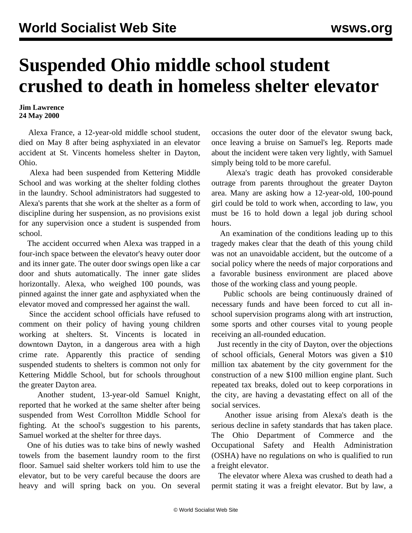## **Suspended Ohio middle school student crushed to death in homeless shelter elevator**

## **Jim Lawrence 24 May 2000**

 Alexa France, a 12-year-old middle school student, died on May 8 after being asphyxiated in an elevator accident at St. Vincents homeless shelter in Dayton, Ohio.

 Alexa had been suspended from Kettering Middle School and was working at the shelter folding clothes in the laundry. School administrators had suggested to Alexa's parents that she work at the shelter as a form of discipline during her suspension, as no provisions exist for any supervision once a student is suspended from school.

 The accident occurred when Alexa was trapped in a four-inch space between the elevator's heavy outer door and its inner gate. The outer door swings open like a car door and shuts automatically. The inner gate slides horizontally. Alexa, who weighed 100 pounds, was pinned against the inner gate and asphyxiated when the elevator moved and compressed her against the wall.

 Since the accident school officials have refused to comment on their policy of having young children working at shelters. St. Vincents is located in downtown Dayton, in a dangerous area with a high crime rate. Apparently this practice of sending suspended students to shelters is common not only for Kettering Middle School, but for schools throughout the greater Dayton area.

 Another student, 13-year-old Samuel Knight, reported that he worked at the same shelter after being suspended from West Corrollton Middle School for fighting. At the school's suggestion to his parents, Samuel worked at the shelter for three days.

 One of his duties was to take bins of newly washed towels from the basement laundry room to the first floor. Samuel said shelter workers told him to use the elevator, but to be very careful because the doors are heavy and will spring back on you. On several

occasions the outer door of the elevator swung back, once leaving a bruise on Samuel's leg. Reports made about the incident were taken very lightly, with Samuel simply being told to be more careful.

 Alexa's tragic death has provoked considerable outrage from parents throughout the greater Dayton area. Many are asking how a 12-year-old, 100-pound girl could be told to work when, according to law, you must be 16 to hold down a legal job during school hours.

 An examination of the conditions leading up to this tragedy makes clear that the death of this young child was not an unavoidable accident, but the outcome of a social policy where the needs of major corporations and a favorable business environment are placed above those of the working class and young people.

 Public schools are being continuously drained of necessary funds and have been forced to cut all inschool supervision programs along with art instruction, some sports and other courses vital to young people receiving an all-rounded education.

 Just recently in the city of Dayton, over the objections of school officials, General Motors was given a \$10 million tax abatement by the city government for the construction of a new \$100 million engine plant. Such repeated tax breaks, doled out to keep corporations in the city, are having a devastating effect on all of the social services.

 Another issue arising from Alexa's death is the serious decline in safety standards that has taken place. The Ohio Department of Commerce and the Occupational Safety and Health Administration (OSHA) have no regulations on who is qualified to run a freight elevator.

 The elevator where Alexa was crushed to death had a permit stating it was a freight elevator. But by law, a